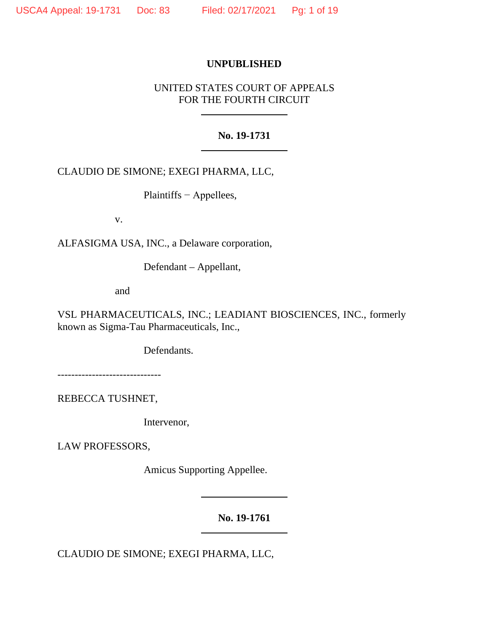## **UNPUBLISHED**

# UNITED STATES COURT OF APPEALS FOR THE FOURTH CIRCUIT

## **No. 19-1731**

# CLAUDIO DE SIMONE; EXEGI PHARMA, LLC,

Plaintiffs − Appellees,

v.

ALFASIGMA USA, INC., a Delaware corporation,

Defendant – Appellant,

and

VSL PHARMACEUTICALS, INC.; LEADIANT BIOSCIENCES, INC., formerly known as Sigma-Tau Pharmaceuticals, Inc.,

Defendants.

------------------------------

REBECCA TUSHNET,

Intervenor,

LAW PROFESSORS,

Amicus Supporting Appellee.

**No. 19-1761**

CLAUDIO DE SIMONE; EXEGI PHARMA, LLC,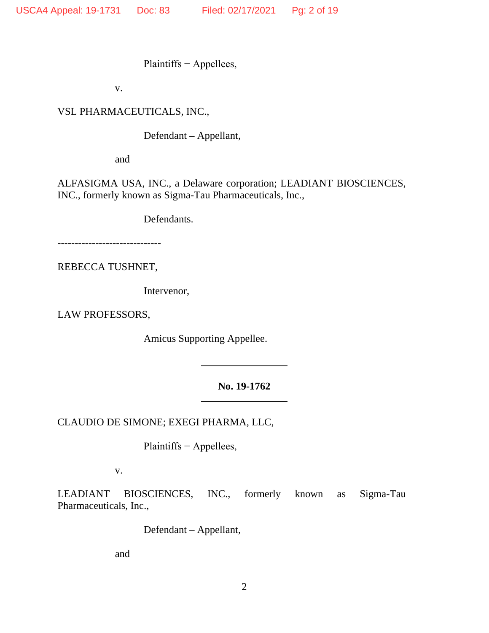Plaintiffs − Appellees,

v.

VSL PHARMACEUTICALS, INC.,

Defendant – Appellant,

and

ALFASIGMA USA, INC., a Delaware corporation; LEADIANT BIOSCIENCES, INC., formerly known as Sigma-Tau Pharmaceuticals, Inc.,

Defendants.

------------------------------

REBECCA TUSHNET,

Intervenor,

LAW PROFESSORS,

Amicus Supporting Appellee.

## **No. 19-1762**

CLAUDIO DE SIMONE; EXEGI PHARMA, LLC,

Plaintiffs − Appellees,

v.

LEADIANT BIOSCIENCES, INC., formerly known as Sigma-Tau Pharmaceuticals, Inc.,

Defendant – Appellant,

and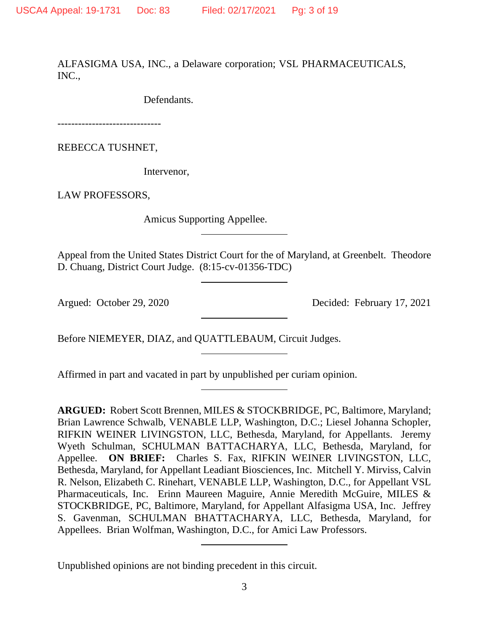ALFASIGMA USA, INC., a Delaware corporation; VSL PHARMACEUTICALS, INC.,

Defendants.

------------------------------

REBECCA TUSHNET,

Intervenor,

LAW PROFESSORS,

Amicus Supporting Appellee.

Appeal from the United States District Court for the of Maryland, at Greenbelt. Theodore D. Chuang, District Court Judge. (8:15-cv-01356-TDC)

Argued: October 29, 2020 Decided: February 17, 2021

Before NIEMEYER, DIAZ, and QUATTLEBAUM, Circuit Judges.

Affirmed in part and vacated in part by unpublished per curiam opinion.

**ARGUED:** Robert Scott Brennen, MILES & STOCKBRIDGE, PC, Baltimore, Maryland; Brian Lawrence Schwalb, VENABLE LLP, Washington, D.C.; Liesel Johanna Schopler, RIFKIN WEINER LIVINGSTON, LLC, Bethesda, Maryland, for Appellants. Jeremy Wyeth Schulman, SCHULMAN BATTACHARYA, LLC, Bethesda, Maryland, for Appellee. **ON BRIEF:** Charles S. Fax, RIFKIN WEINER LIVINGSTON, LLC, Bethesda, Maryland, for Appellant Leadiant Biosciences, Inc. Mitchell Y. Mirviss, Calvin R. Nelson, Elizabeth C. Rinehart, VENABLE LLP, Washington, D.C., for Appellant VSL Pharmaceuticals, Inc. Erinn Maureen Maguire, Annie Meredith McGuire, MILES & STOCKBRIDGE, PC, Baltimore, Maryland, for Appellant Alfasigma USA, Inc. Jeffrey S. Gavenman, SCHULMAN BHATTACHARYA, LLC, Bethesda, Maryland, for Appellees. Brian Wolfman, Washington, D.C., for Amici Law Professors.

Unpublished opinions are not binding precedent in this circuit.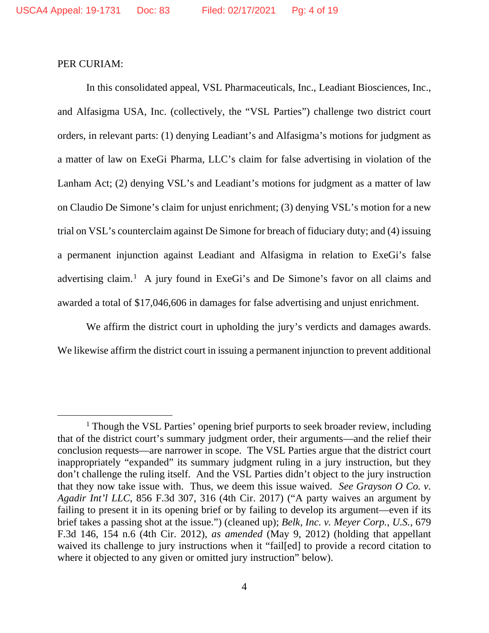### PER CURIAM:

In this consolidated appeal, VSL Pharmaceuticals, Inc., Leadiant Biosciences, Inc., and Alfasigma USA, Inc. (collectively, the "VSL Parties") challenge two district court orders, in relevant parts: (1) denying Leadiant's and Alfasigma's motions for judgment as a matter of law on ExeGi Pharma, LLC's claim for false advertising in violation of the Lanham Act; (2) denying VSL's and Leadiant's motions for judgment as a matter of law on Claudio De Simone's claim for unjust enrichment; (3) denying VSL's motion for a new trial on VSL's counterclaim against De Simone for breach of fiduciary duty; and (4) issuing a permanent injunction against Leadiant and Alfasigma in relation to ExeGi's false advertising claim.<sup>[1](#page-3-0)</sup> A jury found in ExeGi's and De Simone's favor on all claims and awarded a total of \$17,046,606 in damages for false advertising and unjust enrichment.

We affirm the district court in upholding the jury's verdicts and damages awards. We likewise affirm the district court in issuing a permanent injunction to prevent additional

<span id="page-3-0"></span><sup>&</sup>lt;sup>1</sup> Though the VSL Parties' opening brief purports to seek broader review, including that of the district court's summary judgment order, their arguments—and the relief their conclusion requests—are narrower in scope. The VSL Parties argue that the district court inappropriately "expanded" its summary judgment ruling in a jury instruction, but they don't challenge the ruling itself. And the VSL Parties didn't object to the jury instruction that they now take issue with. Thus, we deem this issue waived. *See Grayson O Co. v. Agadir Int'l LLC*, 856 F.3d 307, 316 (4th Cir. 2017) ("A party waives an argument by failing to present it in its opening brief or by failing to develop its argument—even if its brief takes a passing shot at the issue.") (cleaned up); *Belk, Inc. v. Meyer Corp.*, *U.S.*, 679 F.3d 146, 154 n.6 (4th Cir. 2012), *as amended* (May 9, 2012) (holding that appellant waived its challenge to jury instructions when it "fail[ed] to provide a record citation to where it objected to any given or omitted jury instruction" below).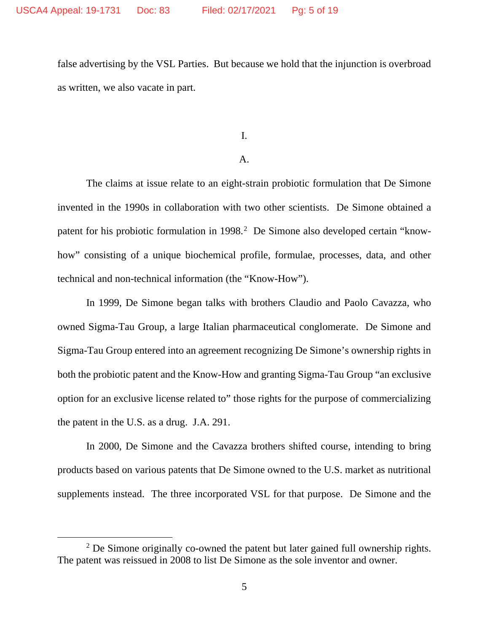false advertising by the VSL Parties. But because we hold that the injunction is overbroad as written, we also vacate in part.

I.

#### A.

The claims at issue relate to an eight-strain probiotic formulation that De Simone invented in the 1990s in collaboration with two other scientists. De Simone obtained a patent for his probiotic formulation in 1998.<sup>[2](#page-4-0)</sup> De Simone also developed certain "knowhow" consisting of a unique biochemical profile, formulae, processes, data, and other technical and non-technical information (the "Know-How").

In 1999, De Simone began talks with brothers Claudio and Paolo Cavazza, who owned Sigma-Tau Group, a large Italian pharmaceutical conglomerate. De Simone and Sigma-Tau Group entered into an agreement recognizing De Simone's ownership rights in both the probiotic patent and the Know-How and granting Sigma-Tau Group "an exclusive option for an exclusive license related to" those rights for the purpose of commercializing the patent in the U.S. as a drug. J.A. 291.

In 2000, De Simone and the Cavazza brothers shifted course, intending to bring products based on various patents that De Simone owned to the U.S. market as nutritional supplements instead. The three incorporated VSL for that purpose. De Simone and the

<span id="page-4-0"></span> $2$  De Simone originally co-owned the patent but later gained full ownership rights. The patent was reissued in 2008 to list De Simone as the sole inventor and owner.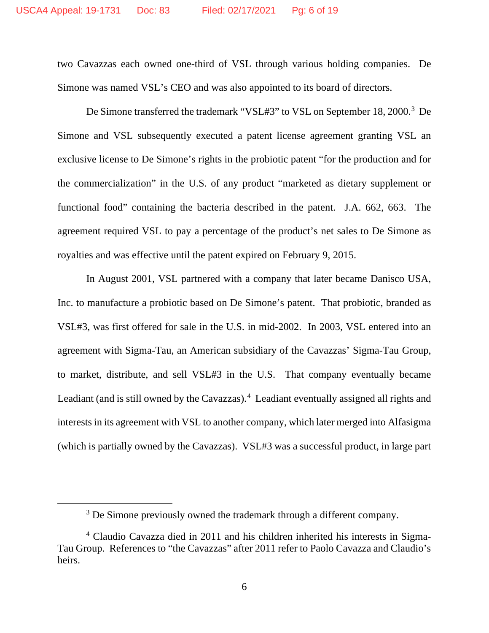two Cavazzas each owned one-third of VSL through various holding companies. De Simone was named VSL's CEO and was also appointed to its board of directors.

De Simone transferred the trademark "VSL#[3](#page-5-0)" to VSL on September 18, 2000.<sup>3</sup> De Simone and VSL subsequently executed a patent license agreement granting VSL an exclusive license to De Simone's rights in the probiotic patent "for the production and for the commercialization" in the U.S. of any product "marketed as dietary supplement or functional food" containing the bacteria described in the patent. J.A. 662, 663. The agreement required VSL to pay a percentage of the product's net sales to De Simone as royalties and was effective until the patent expired on February 9, 2015.

In August 2001, VSL partnered with a company that later became Danisco USA, Inc. to manufacture a probiotic based on De Simone's patent. That probiotic, branded as VSL#3, was first offered for sale in the U.S. in mid-2002. In 2003, VSL entered into an agreement with Sigma-Tau, an American subsidiary of the Cavazzas' Sigma-Tau Group, to market, distribute, and sell VSL#3 in the U.S. That company eventually became Leadiant (and is still owned by the Cavazzas).<sup>[4](#page-5-1)</sup> Leadiant eventually assigned all rights and interests in its agreement with VSL to another company, which later merged into Alfasigma (which is partially owned by the Cavazzas). VSL#3 was a successful product, in large part

<sup>&</sup>lt;sup>3</sup> De Simone previously owned the trademark through a different company.

<span id="page-5-1"></span><span id="page-5-0"></span><sup>4</sup> Claudio Cavazza died in 2011 and his children inherited his interests in Sigma-Tau Group. References to "the Cavazzas" after 2011 refer to Paolo Cavazza and Claudio's heirs.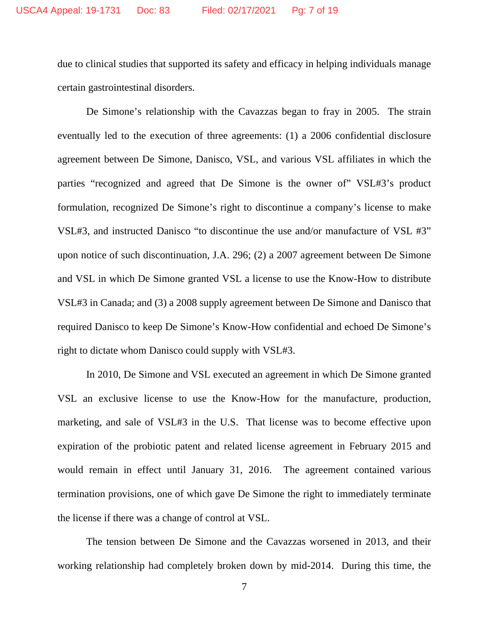due to clinical studies that supported its safety and efficacy in helping individuals manage certain gastrointestinal disorders.

De Simone's relationship with the Cavazzas began to fray in 2005. The strain eventually led to the execution of three agreements: (1) a 2006 confidential disclosure agreement between De Simone, Danisco, VSL, and various VSL affiliates in which the parties "recognized and agreed that De Simone is the owner of" VSL#3's product formulation, recognized De Simone's right to discontinue a company's license to make VSL#3, and instructed Danisco "to discontinue the use and/or manufacture of VSL #3" upon notice of such discontinuation, J.A. 296; (2) a 2007 agreement between De Simone and VSL in which De Simone granted VSL a license to use the Know-How to distribute VSL#3 in Canada; and (3) a 2008 supply agreement between De Simone and Danisco that required Danisco to keep De Simone's Know-How confidential and echoed De Simone's right to dictate whom Danisco could supply with VSL#3.

In 2010, De Simone and VSL executed an agreement in which De Simone granted VSL an exclusive license to use the Know-How for the manufacture, production, marketing, and sale of VSL#3 in the U.S. That license was to become effective upon expiration of the probiotic patent and related license agreement in February 2015 and would remain in effect until January 31, 2016. The agreement contained various termination provisions, one of which gave De Simone the right to immediately terminate the license if there was a change of control at VSL.

The tension between De Simone and the Cavazzas worsened in 2013, and their working relationship had completely broken down by mid-2014. During this time, the

7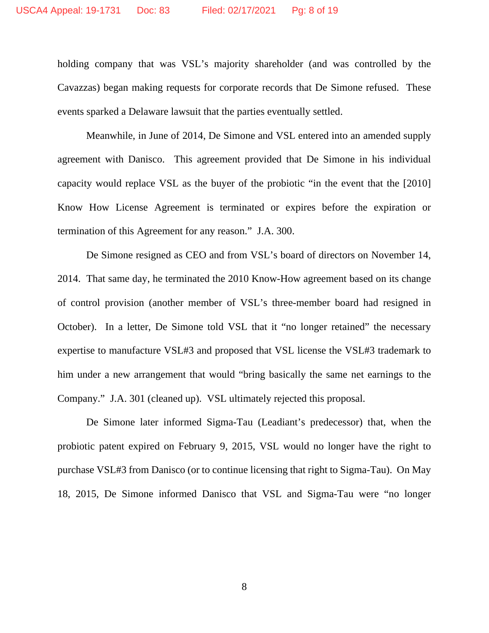holding company that was VSL's majority shareholder (and was controlled by the Cavazzas) began making requests for corporate records that De Simone refused. These events sparked a Delaware lawsuit that the parties eventually settled.

Meanwhile, in June of 2014, De Simone and VSL entered into an amended supply agreement with Danisco. This agreement provided that De Simone in his individual capacity would replace VSL as the buyer of the probiotic "in the event that the [2010] Know How License Agreement is terminated or expires before the expiration or termination of this Agreement for any reason." J.A. 300.

De Simone resigned as CEO and from VSL's board of directors on November 14, 2014. That same day, he terminated the 2010 Know-How agreement based on its change of control provision (another member of VSL's three-member board had resigned in October). In a letter, De Simone told VSL that it "no longer retained" the necessary expertise to manufacture VSL#3 and proposed that VSL license the VSL#3 trademark to him under a new arrangement that would "bring basically the same net earnings to the Company." J.A. 301 (cleaned up). VSL ultimately rejected this proposal.

De Simone later informed Sigma-Tau (Leadiant's predecessor) that, when the probiotic patent expired on February 9, 2015, VSL would no longer have the right to purchase VSL#3 from Danisco (or to continue licensing that right to Sigma-Tau). On May 18, 2015, De Simone informed Danisco that VSL and Sigma-Tau were "no longer

8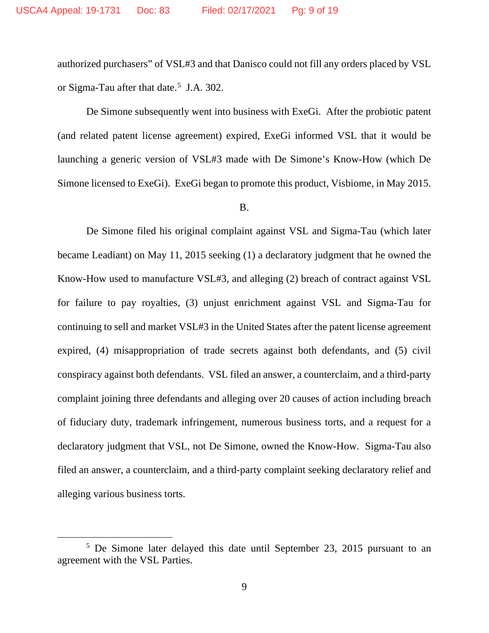authorized purchasers" of VSL#3 and that Danisco could not fill any orders placed by VSL or Sigma-Tau after that date. [5](#page-8-0) J.A. 302.

De Simone subsequently went into business with ExeGi. After the probiotic patent (and related patent license agreement) expired, ExeGi informed VSL that it would be launching a generic version of VSL#3 made with De Simone's Know-How (which De Simone licensed to ExeGi). ExeGi began to promote this product, Visbiome, in May 2015.

B.

De Simone filed his original complaint against VSL and Sigma-Tau (which later became Leadiant) on May 11, 2015 seeking (1) a declaratory judgment that he owned the Know-How used to manufacture VSL#3, and alleging (2) breach of contract against VSL for failure to pay royalties, (3) unjust enrichment against VSL and Sigma-Tau for continuing to sell and market VSL#3 in the United States after the patent license agreement expired, (4) misappropriation of trade secrets against both defendants, and (5) civil conspiracy against both defendants. VSL filed an answer, a counterclaim, and a third-party complaint joining three defendants and alleging over 20 causes of action including breach of fiduciary duty, trademark infringement, numerous business torts, and a request for a declaratory judgment that VSL, not De Simone, owned the Know-How. Sigma-Tau also filed an answer, a counterclaim, and a third-party complaint seeking declaratory relief and alleging various business torts.

<span id="page-8-0"></span><sup>&</sup>lt;sup>5</sup> De Simone later delayed this date until September 23, 2015 pursuant to an agreement with the VSL Parties.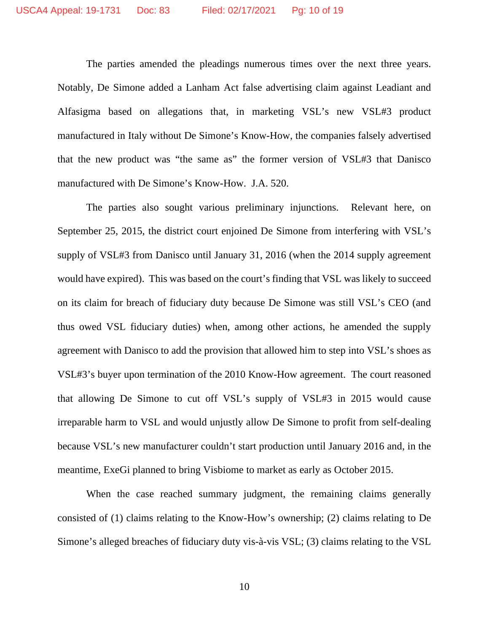The parties amended the pleadings numerous times over the next three years. Notably, De Simone added a Lanham Act false advertising claim against Leadiant and Alfasigma based on allegations that, in marketing VSL's new VSL#3 product manufactured in Italy without De Simone's Know-How, the companies falsely advertised that the new product was "the same as" the former version of VSL#3 that Danisco manufactured with De Simone's Know-How. J.A. 520.

The parties also sought various preliminary injunctions. Relevant here, on September 25, 2015, the district court enjoined De Simone from interfering with VSL's supply of VSL#3 from Danisco until January 31, 2016 (when the 2014 supply agreement would have expired). This was based on the court's finding that VSL was likely to succeed on its claim for breach of fiduciary duty because De Simone was still VSL's CEO (and thus owed VSL fiduciary duties) when, among other actions, he amended the supply agreement with Danisco to add the provision that allowed him to step into VSL's shoes as VSL#3's buyer upon termination of the 2010 Know-How agreement. The court reasoned that allowing De Simone to cut off VSL's supply of VSL#3 in 2015 would cause irreparable harm to VSL and would unjustly allow De Simone to profit from self-dealing because VSL's new manufacturer couldn't start production until January 2016 and, in the meantime, ExeGi planned to bring Visbiome to market as early as October 2015.

When the case reached summary judgment, the remaining claims generally consisted of (1) claims relating to the Know-How's ownership; (2) claims relating to De Simone's alleged breaches of fiduciary duty vis-à-vis VSL; (3) claims relating to the VSL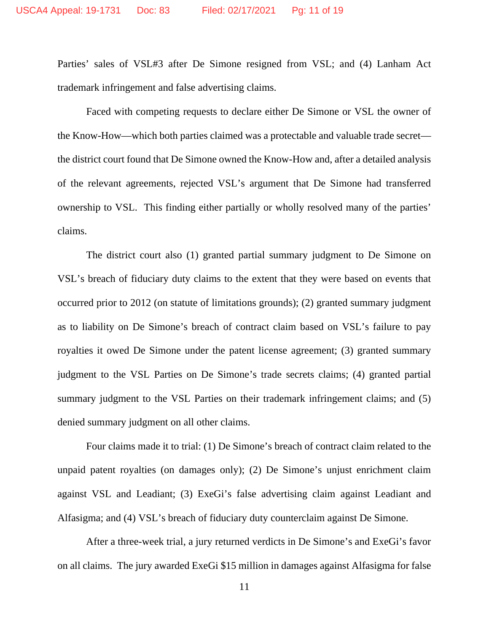Parties' sales of VSL#3 after De Simone resigned from VSL; and (4) Lanham Act trademark infringement and false advertising claims.

Faced with competing requests to declare either De Simone or VSL the owner of the Know-How—which both parties claimed was a protectable and valuable trade secret the district court found that De Simone owned the Know-How and, after a detailed analysis of the relevant agreements, rejected VSL's argument that De Simone had transferred ownership to VSL. This finding either partially or wholly resolved many of the parties' claims.

The district court also (1) granted partial summary judgment to De Simone on VSL's breach of fiduciary duty claims to the extent that they were based on events that occurred prior to 2012 (on statute of limitations grounds); (2) granted summary judgment as to liability on De Simone's breach of contract claim based on VSL's failure to pay royalties it owed De Simone under the patent license agreement; (3) granted summary judgment to the VSL Parties on De Simone's trade secrets claims; (4) granted partial summary judgment to the VSL Parties on their trademark infringement claims; and (5) denied summary judgment on all other claims.

Four claims made it to trial: (1) De Simone's breach of contract claim related to the unpaid patent royalties (on damages only); (2) De Simone's unjust enrichment claim against VSL and Leadiant; (3) ExeGi's false advertising claim against Leadiant and Alfasigma; and (4) VSL's breach of fiduciary duty counterclaim against De Simone.

After a three-week trial, a jury returned verdicts in De Simone's and ExeGi's favor on all claims. The jury awarded ExeGi \$15 million in damages against Alfasigma for false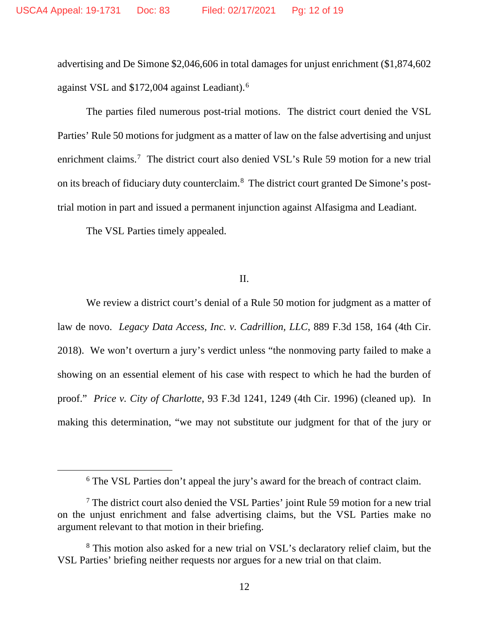advertising and De Simone \$2,046,606 in total damages for unjust enrichment (\$1,874,602 against VSL and \$172,004 against Leadiant).[6](#page-11-0)

The parties filed numerous post-trial motions. The district court denied the VSL Parties' Rule 50 motions for judgment as a matter of law on the false advertising and unjust enrichment claims.<sup>[7](#page-11-1)</sup> The district court also denied VSL's Rule 59 motion for a new trial on its breach of fiduciary duty counterclaim.<sup>[8](#page-11-2)</sup> The district court granted De Simone's posttrial motion in part and issued a permanent injunction against Alfasigma and Leadiant.

The VSL Parties timely appealed.

### II.

We review a district court's denial of a Rule 50 motion for judgment as a matter of law de novo. *Legacy Data Access, Inc. v. Cadrillion, LLC*, 889 F.3d 158, 164 (4th Cir. 2018). We won't overturn a jury's verdict unless "the nonmoving party failed to make a showing on an essential element of his case with respect to which he had the burden of proof." *Price v. City of Charlotte*, 93 F.3d 1241, 1249 (4th Cir. 1996) (cleaned up). In making this determination, "we may not substitute our judgment for that of the jury or

<sup>&</sup>lt;sup>6</sup> The VSL Parties don't appeal the jury's award for the breach of contract claim.

<span id="page-11-1"></span><span id="page-11-0"></span><sup>7</sup> The district court also denied the VSL Parties' joint Rule 59 motion for a new trial on the unjust enrichment and false advertising claims, but the VSL Parties make no argument relevant to that motion in their briefing.

<span id="page-11-2"></span><sup>&</sup>lt;sup>8</sup> This motion also asked for a new trial on VSL's declaratory relief claim, but the VSL Parties' briefing neither requests nor argues for a new trial on that claim.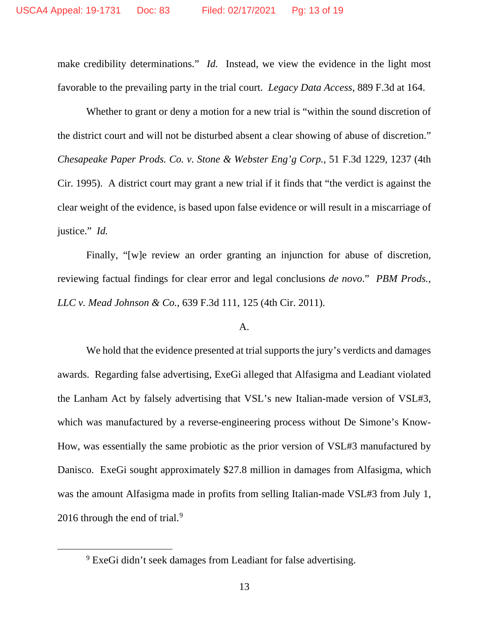make credibility determinations." *Id.* Instead, we view the evidence in the light most favorable to the prevailing party in the trial court. *Legacy Data Access*, 889 F.3d at 164.

Whether to grant or deny a motion for a new trial is "within the sound discretion of the district court and will not be disturbed absent a clear showing of abuse of discretion." *Chesapeake Paper Prods. Co. v. Stone & Webster Eng'g Corp.*, 51 F.3d 1229, 1237 (4th Cir. 1995). A district court may grant a new trial if it finds that "the verdict is against the clear weight of the evidence, is based upon false evidence or will result in a miscarriage of justice." *Id.*

Finally, "[w]e review an order granting an injunction for abuse of discretion, reviewing factual findings for clear error and legal conclusions *de novo*." *PBM Prods., LLC v. Mead Johnson & Co.*, 639 F.3d 111, 125 (4th Cir. 2011).

#### A.

We hold that the evidence presented at trial supports the jury's verdicts and damages awards. Regarding false advertising, ExeGi alleged that Alfasigma and Leadiant violated the Lanham Act by falsely advertising that VSL's new Italian-made version of VSL#3, which was manufactured by a reverse-engineering process without De Simone's Know-How, was essentially the same probiotic as the prior version of VSL#3 manufactured by Danisco. ExeGi sought approximately \$27.8 million in damages from Alfasigma, which was the amount Alfasigma made in profits from selling Italian-made VSL#3 from July 1, 2016 through the end of trial.<sup>[9](#page-12-0)</sup>

<span id="page-12-0"></span><sup>9</sup> ExeGi didn't seek damages from Leadiant for false advertising.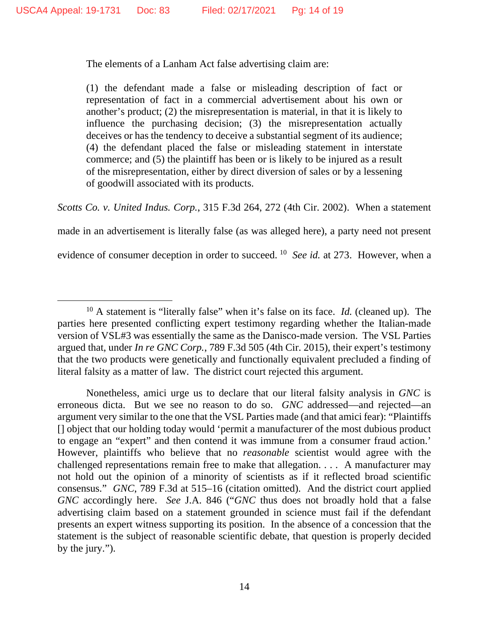The elements of a Lanham Act false advertising claim are:

(1) the defendant made a false or misleading description of fact or representation of fact in a commercial advertisement about his own or another's product; (2) the misrepresentation is material, in that it is likely to influence the purchasing decision; (3) the misrepresentation actually deceives or has the tendency to deceive a substantial segment of its audience; (4) the defendant placed the false or misleading statement in interstate commerce; and (5) the plaintiff has been or is likely to be injured as a result of the misrepresentation, either by direct diversion of sales or by a lessening of goodwill associated with its products.

*Scotts Co. v. United Indus. Corp.*, 315 F.3d 264, 272 (4th Cir. 2002). When a statement

made in an advertisement is literally false (as was alleged here), a party need not present

evidence of consumer deception in order to succeed. [10](#page-13-0) *See id.* at 273. However, when a

<span id="page-13-0"></span><sup>10</sup> A statement is "literally false" when it's false on its face. *Id.* (cleaned up). The parties here presented conflicting expert testimony regarding whether the Italian-made version of VSL#3 was essentially the same as the Danisco-made version. The VSL Parties argued that, under *In re GNC Corp.*, 789 F.3d 505 (4th Cir. 2015), their expert's testimony that the two products were genetically and functionally equivalent precluded a finding of literal falsity as a matter of law. The district court rejected this argument.

Nonetheless, amici urge us to declare that our literal falsity analysis in *GNC* is erroneous dicta. But we see no reason to do so. *GNC* addressed—and rejected—an argument very similar to the one that the VSL Parties made (and that amici fear): "Plaintiffs [] object that our holding today would 'permit a manufacturer of the most dubious product to engage an "expert" and then contend it was immune from a consumer fraud action.' However, plaintiffs who believe that no *reasonable* scientist would agree with the challenged representations remain free to make that allegation. . . . A manufacturer may not hold out the opinion of a minority of scientists as if it reflected broad scientific consensus." *GNC*, 789 F.3d at 515–16 (citation omitted). And the district court applied *GNC* accordingly here. *See* J.A. 846 ("*GNC* thus does not broadly hold that a false advertising claim based on a statement grounded in science must fail if the defendant presents an expert witness supporting its position. In the absence of a concession that the statement is the subject of reasonable scientific debate, that question is properly decided by the jury.").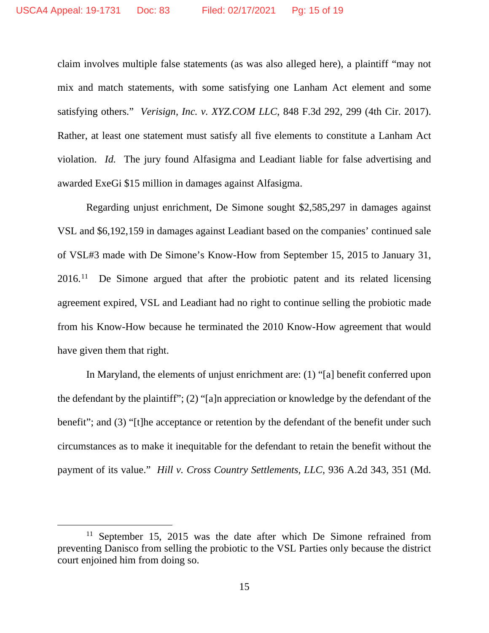claim involves multiple false statements (as was also alleged here), a plaintiff "may not mix and match statements, with some satisfying one Lanham Act element and some satisfying others." *Verisign, Inc. v. XYZ.COM LLC*, 848 F.3d 292, 299 (4th Cir. 2017). Rather, at least one statement must satisfy all five elements to constitute a Lanham Act violation. *Id.* The jury found Alfasigma and Leadiant liable for false advertising and awarded ExeGi \$15 million in damages against Alfasigma.

Regarding unjust enrichment, De Simone sought \$2,585,297 in damages against VSL and \$6,192,159 in damages against Leadiant based on the companies' continued sale of VSL#3 made with De Simone's Know-How from September 15, 2015 to January 31,  $2016<sup>11</sup>$  $2016<sup>11</sup>$  $2016<sup>11</sup>$  De Simone argued that after the probiotic patent and its related licensing agreement expired, VSL and Leadiant had no right to continue selling the probiotic made from his Know-How because he terminated the 2010 Know-How agreement that would have given them that right.

In Maryland, the elements of unjust enrichment are: (1) "[a] benefit conferred upon the defendant by the plaintiff"; (2) "[a]n appreciation or knowledge by the defendant of the benefit"; and (3) "[t]he acceptance or retention by the defendant of the benefit under such circumstances as to make it inequitable for the defendant to retain the benefit without the payment of its value." *Hill v. Cross Country Settlements, LLC*, 936 A.2d 343, 351 (Md.

<span id="page-14-0"></span><sup>&</sup>lt;sup>11</sup> September 15, 2015 was the date after which De Simone refrained from preventing Danisco from selling the probiotic to the VSL Parties only because the district court enjoined him from doing so.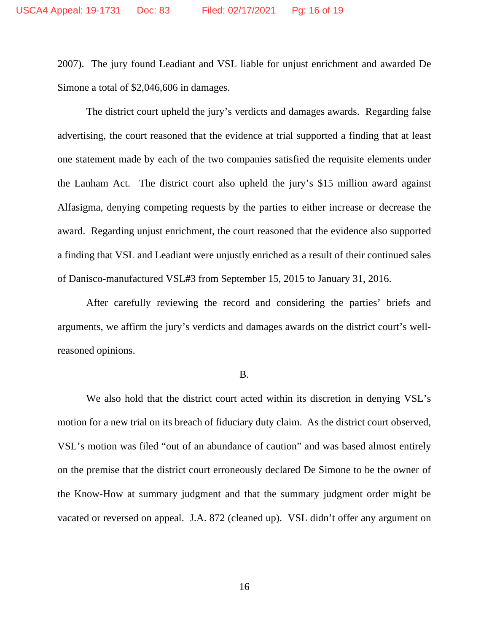2007). The jury found Leadiant and VSL liable for unjust enrichment and awarded De Simone a total of \$2,046,606 in damages.

The district court upheld the jury's verdicts and damages awards. Regarding false advertising, the court reasoned that the evidence at trial supported a finding that at least one statement made by each of the two companies satisfied the requisite elements under the Lanham Act. The district court also upheld the jury's \$15 million award against Alfasigma, denying competing requests by the parties to either increase or decrease the award. Regarding unjust enrichment, the court reasoned that the evidence also supported a finding that VSL and Leadiant were unjustly enriched as a result of their continued sales of Danisco-manufactured VSL#3 from September 15, 2015 to January 31, 2016.

After carefully reviewing the record and considering the parties' briefs and arguments, we affirm the jury's verdicts and damages awards on the district court's wellreasoned opinions.

#### B.

We also hold that the district court acted within its discretion in denying VSL's motion for a new trial on its breach of fiduciary duty claim. As the district court observed, VSL's motion was filed "out of an abundance of caution" and was based almost entirely on the premise that the district court erroneously declared De Simone to be the owner of the Know-How at summary judgment and that the summary judgment order might be vacated or reversed on appeal. J.A. 872 (cleaned up). VSL didn't offer any argument on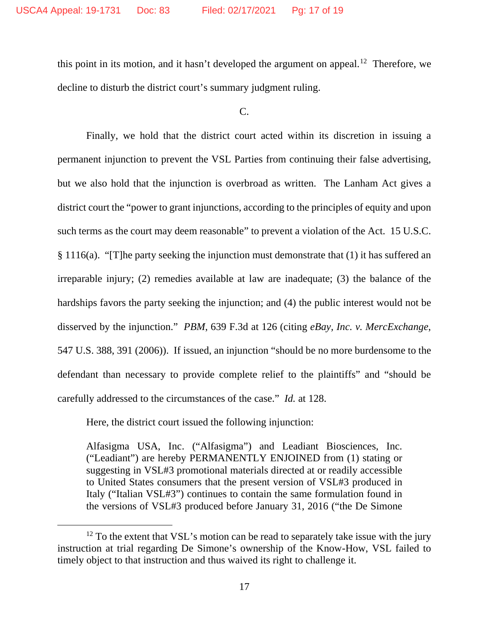this point in its motion, and it hasn't developed the argument on appeal.<sup>12</sup> Therefore, we decline to disturb the district court's summary judgment ruling.

 $C_{\cdot}$ 

Finally, we hold that the district court acted within its discretion in issuing a permanent injunction to prevent the VSL Parties from continuing their false advertising, but we also hold that the injunction is overbroad as written. The Lanham Act gives a district court the "power to grant injunctions, according to the principles of equity and upon such terms as the court may deem reasonable" to prevent a violation of the Act. 15 U.S.C. § 1116(a). "[T]he party seeking the injunction must demonstrate that (1) it has suffered an irreparable injury; (2) remedies available at law are inadequate; (3) the balance of the hardships favors the party seeking the injunction; and (4) the public interest would not be disserved by the injunction." *PBM*, 639 F.3d at 126 (citing *eBay, Inc. v. MercExchange*, 547 U.S. 388, 391 (2006)). If issued, an injunction "should be no more burdensome to the defendant than necessary to provide complete relief to the plaintiffs" and "should be carefully addressed to the circumstances of the case." *Id.* at 128.

Here, the district court issued the following injunction:

Alfasigma USA, Inc. ("Alfasigma") and Leadiant Biosciences, Inc. ("Leadiant") are hereby PERMANENTLY ENJOINED from (1) stating or suggesting in VSL#3 promotional materials directed at or readily accessible to United States consumers that the present version of VSL#3 produced in Italy ("Italian VSL#3") continues to contain the same formulation found in the versions of VSL#3 produced before January 31, 2016 ("the De Simone

<span id="page-16-0"></span> $12$  To the extent that VSL's motion can be read to separately take issue with the jury instruction at trial regarding De Simone's ownership of the Know-How, VSL failed to timely object to that instruction and thus waived its right to challenge it.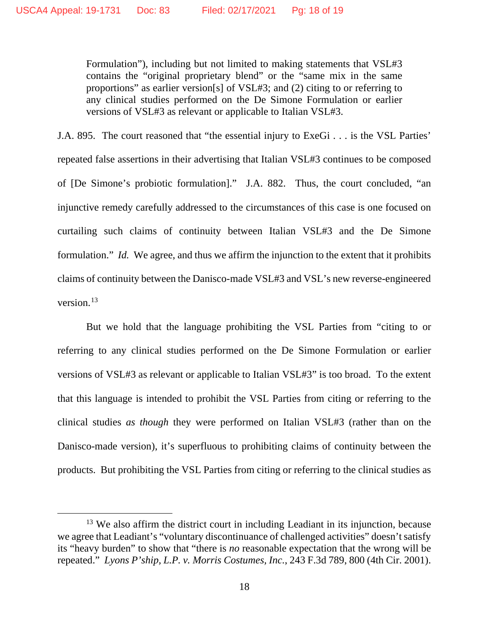Formulation"), including but not limited to making statements that VSL#3 contains the "original proprietary blend" or the "same mix in the same proportions" as earlier version[s] of VSL#3; and (2) citing to or referring to any clinical studies performed on the De Simone Formulation or earlier versions of VSL#3 as relevant or applicable to Italian VSL#3.

J.A. 895. The court reasoned that "the essential injury to ExeGi . . . is the VSL Parties' repeated false assertions in their advertising that Italian VSL#3 continues to be composed of [De Simone's probiotic formulation]." J.A. 882. Thus, the court concluded, "an injunctive remedy carefully addressed to the circumstances of this case is one focused on curtailing such claims of continuity between Italian VSL#3 and the De Simone formulation." *Id.* We agree, and thus we affirm the injunction to the extent that it prohibits claims of continuity between the Danisco-made VSL#3 and VSL's new reverse-engineered version.<sup>[13](#page-17-0)</sup>

But we hold that the language prohibiting the VSL Parties from "citing to or referring to any clinical studies performed on the De Simone Formulation or earlier versions of VSL#3 as relevant or applicable to Italian VSL#3" is too broad. To the extent that this language is intended to prohibit the VSL Parties from citing or referring to the clinical studies *as though* they were performed on Italian VSL#3 (rather than on the Danisco-made version), it's superfluous to prohibiting claims of continuity between the products. But prohibiting the VSL Parties from citing or referring to the clinical studies as

<span id="page-17-0"></span><sup>&</sup>lt;sup>13</sup> We also affirm the district court in including Leadiant in its injunction, because we agree that Leadiant's "voluntary discontinuance of challenged activities" doesn't satisfy its "heavy burden" to show that "there is *no* reasonable expectation that the wrong will be repeated." *Lyons P'ship, L.P. v. Morris Costumes, Inc.*, 243 F.3d 789, 800 (4th Cir. 2001).